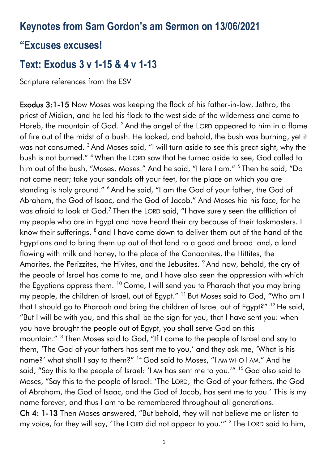## **Keynotes from Sam Gordon's am Sermon on 13/06/2021**

#### **"Excuses excuses!**

# **Text: Exodus 3 v 1-15 & 4 v 1-13**

Scripture references from the ESV

Exodus 3:1-15 Now Moses was keeping the flock of his father-in-law, Jethro, the priest of Midian, and he led his flock to the west side of the wilderness and came to Horeb, the mountain of God. <sup>2</sup> And the angel of the LORD appeared to him in a flame of fire out of the midst of a bush. He looked, and behold, the bush was burning, yet it was not consumed. <sup>3</sup> And Moses said, "I will turn aside to see this great sight, why the bush is not burned." <sup>4</sup> When the LORD saw that he turned aside to see, God called to him out of the bush, "Moses, Moses!" And he said, "Here I am." <sup>5</sup> Then he said, "Do not come near; take your sandals off your feet, for the place on which you are standing is holy ground." <sup>6</sup> And he said, "I am the God of your father, the God of Abraham, the God of Isaac, and the God of Jacob." And Moses hid his face, for he was afraid to look at God.<sup>7</sup> Then the LORD said, "I have surely seen the affliction of my people who are in Egypt and have heard their cry because of their taskmasters. I know their sufferings, <sup>8</sup> and I have come down to deliver them out of the hand of the Egyptians and to bring them up out of that land to a good and broad land, a land flowing with milk and honey, to the place of the Canaanites, the Hittites, the Amorites, the Perizzites, the Hivites, and the Jebusites. <sup>9</sup> And now, behold, the cry of the people of Israel has come to me, and I have also seen the oppression with which the Egyptians oppress them. <sup>10</sup> Come, I will send you to Pharaoh that you may bring my people, the children of Israel, out of Egypt."<sup>11</sup> But Moses said to God, "Who am I that I should go to Pharaoh and bring the children of Israel out of Egypt?" <sup>12</sup> He said, "But I will be with you, and this shall be the sign for you, that I have sent you: when you have brought the people out of Egypt, you shall serve God on this mountain."<sup>13</sup> Then Moses said to God, "If I come to the people of Israel and say to them, 'The God of your fathers has sent me to you,' and they ask me, 'What is his name?' what shall I say to them?" <sup>14</sup> God said to Moses, "I AM WHO I AM." And he said, "Say this to the people of Israel: 'I AM has sent me to you.'" <sup>15</sup> God also said to Moses, "Say this to the people of Israel: 'The LORD, the God of your fathers, the God of Abraham, the God of Isaac, and the God of Jacob, has sent me to you.' This is my name forever, and thus I am to be remembered throughout all generations. Ch 4: 1-13 Then Moses answered, "But behold, they will not believe me or listen to my voice, for they will say, 'The LORD did not appear to you.'"  $2$  The LORD said to him,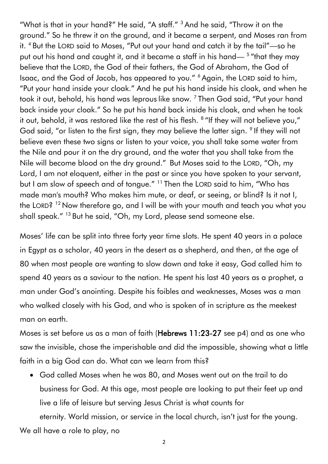"What is that in your hand?" He said, "A staff." <sup>3</sup> And he said, "Throw it on the ground." So he threw it on the ground, and it became a serpent, and Moses ran from it. <sup>4</sup> But the LORD said to Moses, "Put out your hand and catch it by the tail"—so he put out his hand and caught it, and it became a staff in his hand—<sup>5</sup> "that they may believe that the LORD, the God of their fathers, the God of Abraham, the God of Isaac, and the God of Jacob, has appeared to you." <sup>6</sup> Again, the LORD said to him, "Put your hand inside your cloak." And he put his hand inside his cloak, and when he took it out, behold, his hand was leprous like snow. <sup>7</sup> Then God said, "Put your hand back inside your cloak." So he put his hand back inside his cloak, and when he took it out, behold, it was restored like the rest of his flesh.  $8\,$  "If they will not believe you," God said, "or listen to the first sign, they may believe the latter sign. <sup>9</sup> If they will not believe even these two signs or listen to your voice, you shall take some water from the Nile and pour it on the dry ground, and the water that you shall take from the Nile will become blood on the dry ground." But Moses said to the LORD, "Oh, my Lord, I am not eloquent, either in the past or since you have spoken to your servant, but I am slow of speech and of tongue." <sup>11</sup> Then the LORD said to him, "Who has made man's mouth? Who makes him mute, or deaf, or seeing, or blind? Is it not I, the LORD? <sup>12</sup> Now therefore go, and I will be with your mouth and teach you what you shall speak." <sup>13</sup> But he said, "Oh, my Lord, please send someone else.

Moses' life can be split into three forty year time slots. He spent 40 years in a palace in Egypt as a scholar, 40 years in the desert as a shepherd, and then, at the age of 80 when most people are wanting to slow down and take it easy, God called him to spend 40 years as a saviour to the nation. He spent his last 40 years as a prophet, a man under God's anointing. Despite his foibles and weaknesses, Moses was a man who walked closely with his God, and who is spoken of in scripture as the meekest man on earth.

Moses is set before us as a man of faith (Hebrews 11:23-27 see p4) and as one who saw the invisible, chose the imperishable and did the impossible, showing what a little faith in a big God can do. What can we learn from this?

• God called Moses when he was 80, and Moses went out on the trail to do business for God. At this age, most people are looking to put their feet up and live a life of leisure but serving Jesus Christ is what counts for

eternity. World mission, or service in the local church, isn't just for the young. We all have a role to play, no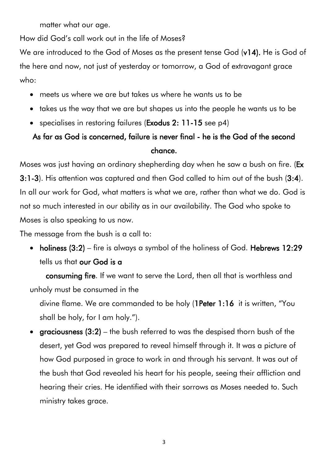matter what our age.

How did God's call work out in the life of Moses?

We are introduced to the God of Moses as the present tense God (v14). He is God of the here and now, not just of yesterday or tomorrow, a God of extravagant grace who:

- meets us where we are but takes us where he wants us to be
- takes us the way that we are but shapes us into the people he wants us to be
- specialises in restoring failures (**Exodus 2: 11-15** see p4)

### As far as God is concerned, failure is never final - he is the God of the second chance.

Moses was just having an ordinary shepherding day when he saw a bush on fire. (Ex 3:1-3). His attention was captured and then God called to him out of the bush (3:4). In all our work for God, what matters is what we are, rather than what we do. God is not so much interested in our ability as in our availability. The God who spoke to Moses is also speaking to us now.

The message from the bush is a call to:

• holiness (3:2) – fire is always a symbol of the holiness of God. Hebrews 12:29 tells us that our God is a

 consuming fire. If we want to serve the Lord, then all that is worthless and unholy must be consumed in the

divine flame. We are commanded to be holy (1Peter 1:16 it is written, "You shall be holy, for I am holy.").

• graciousness  $(3:2)$  – the bush referred to was the despised thorn bush of the desert, yet God was prepared to reveal himself through it. It was a picture of how God purposed in grace to work in and through his servant. It was out of the bush that God revealed his heart for his people, seeing their affliction and hearing their cries. He identified with their sorrows as Moses needed to. Such ministry takes grace.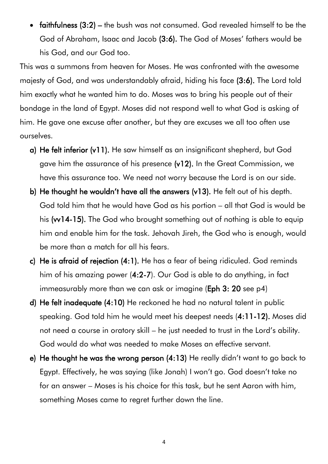• faithfulness (3:2) – the bush was not consumed. God revealed himself to be the God of Abraham, Isaac and Jacob (3:6). The God of Moses' fathers would be his God, and our God too.

This was a summons from heaven for Moses. He was confronted with the awesome majesty of God, and was understandably afraid, hiding his face (3:6). The Lord told him exactly what he wanted him to do. Moses was to bring his people out of their bondage in the land of Egypt. Moses did not respond well to what God is asking of him. He gave one excuse after another, but they are excuses we all too often use ourselves.

- a) He felt inferior (v11). He saw himself as an insignificant shepherd, but God gave him the assurance of his presence (v12). In the Great Commission, we have this assurance too. We need not worry because the Lord is on our side.
- b) He thought he wouldn't have all the answers (v13). He felt out of his depth. God told him that he would have God as his portion – all that God is would be his (w14-15). The God who brought something out of nothing is able to equip him and enable him for the task. Jehovah Jireh, the God who is enough, would be more than a match for all his fears.
- c) He is afraid of rejection (4:1). He has a fear of being ridiculed. God reminds him of his amazing power (4:2-7). Our God is able to do anything, in fact immeasurably more than we can ask or imagine (Eph 3: 20 see p4)
- d) He felt inadequate (4:10) He reckoned he had no natural talent in public speaking. God told him he would meet his deepest needs (4:11-12). Moses did not need a course in oratory skill – he just needed to trust in the Lord's ability. God would do what was needed to make Moses an effective servant.
- e) He thought he was the wrong person (4:13) He really didn't want to go back to Egypt. Effectively, he was saying (like Jonah) I won't go. God doesn't take no for an answer – Moses is his choice for this task, but he sent Aaron with him, something Moses came to regret further down the line.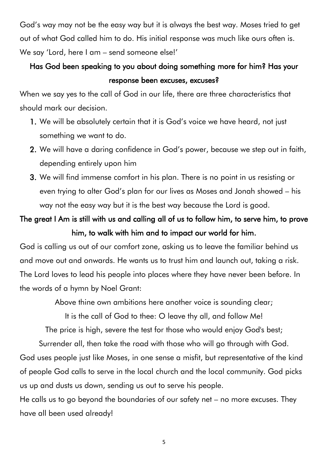God's way may not be the easy way but it is always the best way. Moses tried to get out of what God called him to do. His initial response was much like ours often is. We say 'Lord, here I am – send someone else!'

#### Has God been speaking to you about doing something more for him? Has your response been excuses, excuses?

When we say yes to the call of God in our life, there are three characteristics that should mark our decision.

- 1. We will be absolutely certain that it is God's voice we have heard, not just something we want to do.
- 2. We will have a daring confidence in God's power, because we step out in faith, depending entirely upon him
- 3. We will find immense comfort in his plan. There is no point in us resisting or even trying to alter God's plan for our lives as Moses and Jonah showed – his way not the easy way but it is the best way because the Lord is good.

### The great I Am is still with us and calling all of us to follow him, to serve him, to prove him, to walk with him and to impact our world for him.

God is calling us out of our comfort zone, asking us to leave the familiar behind us and move out and onwards. He wants us to trust him and launch out, taking a risk. The Lord loves to lead his people into places where they have never been before. In the words of a hymn by Noel Grant:

Above thine own ambitions here another voice is sounding clear;

It is the call of God to thee: O leave thy all, and follow Me!

The price is high, severe the test for those who would enjoy God's best;

Surrender all, then take the road with those who will go through with God.

God uses people just like Moses, in one sense a misfit, but representative of the kind of people God calls to serve in the local church and the local community. God picks us up and dusts us down, sending us out to serve his people.

He calls us to go beyond the boundaries of our safety net – no more excuses. They have all been used already!

5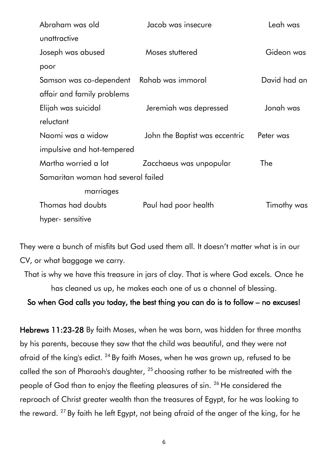| Abraham was old                    | Jacob was insecure             | Leah was     |
|------------------------------------|--------------------------------|--------------|
| unattractive                       |                                |              |
| Joseph was abused                  | Moses stuttered                | Gideon was   |
| poor                               |                                |              |
| Samson was co-dependent            | Rahab was immoral              | David had an |
| affair and family problems         |                                |              |
| Elijah was suicidal                | Jeremiah was depressed         | Jonah was    |
| reluctant                          |                                |              |
| Naomi was a widow                  | John the Baptist was eccentric | Peter was    |
| impulsive and hot-tempered         |                                |              |
| Martha worried a lot               | Zacchaeus was unpopular        | The          |
| Samaritan woman had several failed |                                |              |
| marriages                          |                                |              |
| Thomas had doubts                  | Paul had poor health           | Timothy was  |
| hyper- sensitive                   |                                |              |

They were a bunch of misfits but God used them all. It doesn't matter what is in our CV, or what baggage we carry.

That is why we have this treasure in jars of clay. That is where God excels. Once he has cleaned us up, he makes each one of us a channel of blessing.

So when God calls you today, the best thing you can do is to follow – no excuses!

Hebrews 11:23-28 By faith Moses, when he was born, was hidden for three months by his parents, because they saw that the child was beautiful, and they were not afraid of the king's edict. <sup>24</sup> By faith Moses, when he was grown up, refused to be called the son of Pharaoh's daughter, <sup>25</sup> choosing rather to be mistreated with the people of God than to enjoy the fleeting pleasures of sin. <sup>26</sup> He considered the reproach of Christ greater wealth than the treasures of Egypt, for he was looking to the reward. <sup>27</sup> By faith he left Egypt, not being afraid of the anger of the king, for he